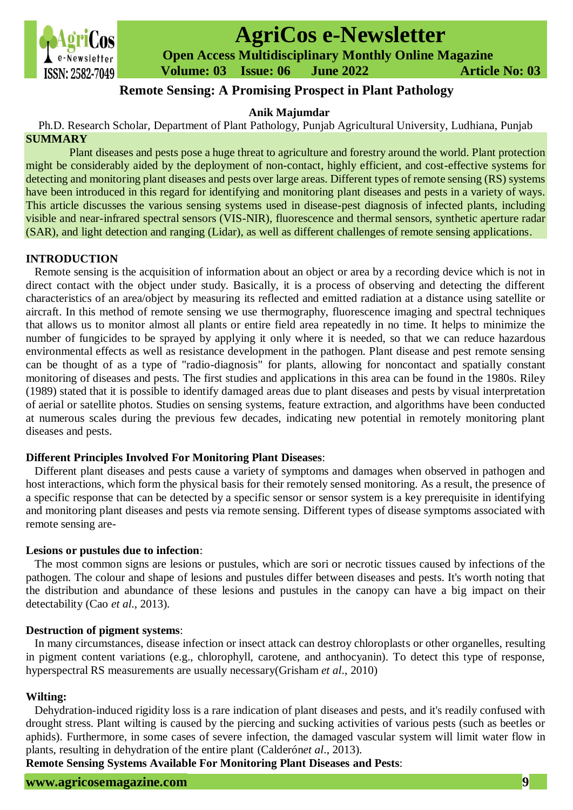

# **AgriCos e-Newsletter**

 **Open Access Multidisciplinary Monthly Online Magazine**

 **Volume: 03 Issue: 06 June 2022 Article No: 03**

## **Remote Sensing: A Promising Prospect in Plant Pathology**

## **Anik Majumdar**

Ph.D. Research Scholar, Department of Plant Pathology, Punjab Agricultural University, Ludhiana, Punjab **SUMMARY**

Plant diseases and pests pose a huge threat to agriculture and forestry around the world. Plant protection might be considerably aided by the deployment of non-contact, highly efficient, and cost-effective systems for detecting and monitoring plant diseases and pests over large areas. Different types of remote sensing (RS) systems have been introduced in this regard for identifying and monitoring plant diseases and pests in a variety of ways. This article discusses the various sensing systems used in disease-pest diagnosis of infected plants, including visible and near-infrared spectral sensors (VIS-NIR), fluorescence and thermal sensors, synthetic aperture radar (SAR), and light detection and ranging (Lidar), as well as different challenges of remote sensing applications.

### **INTRODUCTION**

Remote sensing is the acquisition of information about an object or area by a recording device which is not in direct contact with the object under study. Basically, it is a process of observing and detecting the different characteristics of an area/object by measuring its reflected and emitted radiation at a distance using satellite or aircraft. In this method of remote sensing we use thermography, fluorescence imaging and spectral techniques that allows us to monitor almost all plants or entire field area repeatedly in no time. It helps to minimize the number of fungicides to be sprayed by applying it only where it is needed, so that we can reduce hazardous environmental effects as well as resistance development in the pathogen. Plant disease and pest remote sensing can be thought of as a type of "radio-diagnosis" for plants, allowing for noncontact and spatially constant monitoring of diseases and pests. The first studies and applications in this area can be found in the 1980s. Riley (1989) stated that it is possible to identify damaged areas due to plant diseases and pests by visual interpretation of aerial or satellite photos. Studies on sensing systems, feature extraction, and algorithms have been conducted at numerous scales during the previous few decades, indicating new potential in remotely monitoring plant diseases and pests.

## **Different Principles Involved For Monitoring Plant Diseases**:

Different plant diseases and pests cause a variety of symptoms and damages when observed in pathogen and host interactions, which form the physical basis for their remotely sensed monitoring. As a result, the presence of a specific response that can be detected by a specific sensor or sensor system is a key prerequisite in identifying and monitoring plant diseases and pests via remote sensing. Different types of disease symptoms associated with remote sensing are-

#### **Lesions or pustules due to infection**:

The most common signs are lesions or pustules, which are sori or necrotic tissues caused by infections of the pathogen. The colour and shape of lesions and pustules differ between diseases and pests. It's worth noting that the distribution and abundance of these lesions and pustules in the canopy can have a big impact on their detectability (Cao *et al*., 2013).

#### **Destruction of pigment systems**:

In many circumstances, disease infection or insect attack can destroy chloroplasts or other organelles, resulting in pigment content variations (e.g., chlorophyll, carotene, and anthocyanin). To detect this type of response, hyperspectral RS measurements are usually necessary(Grisham *et al*., 2010)

#### **Wilting:**

Dehydration-induced rigidity loss is a rare indication of plant diseases and pests, and it's readily confused with drought stress. Plant wilting is caused by the piercing and sucking activities of various pests (such as beetles or aphids). Furthermore, in some cases of severe infection, the damaged vascular system will limit water flow in plants, resulting in dehydration of the entire plant (Calderón*et al*., 2013).

**Remote Sensing Systems Available For Monitoring Plant Diseases and Pests**: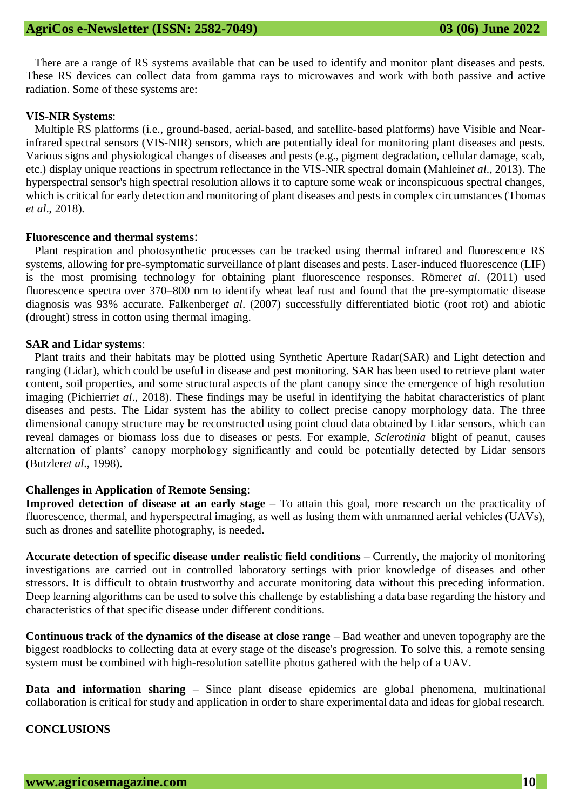There are a range of RS systems available that can be used to identify and monitor plant diseases and pests. These RS devices can collect data from gamma rays to microwaves and work with both passive and active radiation. Some of these systems are:

#### **VIS-NIR Systems**:

Multiple RS platforms (i.e., ground-based, aerial-based, and satellite-based platforms) have Visible and Nearinfrared spectral sensors (VIS-NIR) sensors, which are potentially ideal for monitoring plant diseases and pests. Various signs and physiological changes of diseases and pests (e.g., pigment degradation, cellular damage, scab, etc.) display unique reactions in spectrum reflectance in the VIS-NIR spectral domain (Mahlein*et al*., 2013). The hyperspectral sensor's high spectral resolution allows it to capture some weak or inconspicuous spectral changes, which is critical for early detection and monitoring of plant diseases and pests in complex circumstances (Thomas *et al*., 2018).

#### **Fluorescence and thermal systems**:

Plant respiration and photosynthetic processes can be tracked using thermal infrared and fluorescence RS systems, allowing for pre-symptomatic surveillance of plant diseases and pests. Laser-induced fluorescence (LIF) is the most promising technology for obtaining plant fluorescence responses. Römer*et al*. (2011) used fluorescence spectra over 370–800 nm to identify wheat leaf rust and found that the pre-symptomatic disease diagnosis was 93% accurate. Falkenberg*et al*. (2007) successfully differentiated biotic (root rot) and abiotic (drought) stress in cotton using thermal imaging.

#### **SAR and Lidar systems**:

Plant traits and their habitats may be plotted using Synthetic Aperture Radar(SAR) and Light detection and ranging (Lidar), which could be useful in disease and pest monitoring. SAR has been used to retrieve plant water content, soil properties, and some structural aspects of the plant canopy since the emergence of high resolution imaging (Pichierri*et al*., 2018). These findings may be useful in identifying the habitat characteristics of plant diseases and pests. The Lidar system has the ability to collect precise canopy morphology data. The three dimensional canopy structure may be reconstructed using point cloud data obtained by Lidar sensors, which can reveal damages or biomass loss due to diseases or pests. For example, *Sclerotinia* blight of peanut, causes alternation of plants' canopy morphology significantly and could be potentially detected by Lidar sensors (Butzler*et al*., 1998).

#### **Challenges in Application of Remote Sensing**:

**Improved detection of disease at an early stage** – To attain this goal, more research on the practicality of fluorescence, thermal, and hyperspectral imaging, as well as fusing them with unmanned aerial vehicles (UAVs), such as drones and satellite photography, is needed.

**Accurate detection of specific disease under realistic field conditions** – Currently, the majority of monitoring investigations are carried out in controlled laboratory settings with prior knowledge of diseases and other stressors. It is difficult to obtain trustworthy and accurate monitoring data without this preceding information. Deep learning algorithms can be used to solve this challenge by establishing a data base regarding the history and characteristics of that specific disease under different conditions.

**Continuous track of the dynamics of the disease at close range** – Bad weather and uneven topography are the biggest roadblocks to collecting data at every stage of the disease's progression. To solve this, a remote sensing system must be combined with high-resolution satellite photos gathered with the help of a UAV.

**Data and information sharing** – Since plant disease epidemics are global phenomena, multinational collaboration is critical for study and application in order to share experimental data and ideas for global research.

#### **CONCLUSIONS**